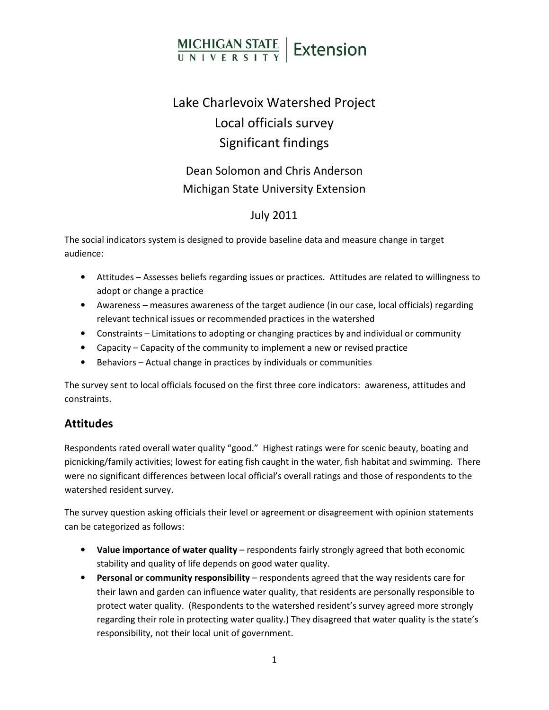# MICHIGAN STATE | Extension

## Lake Charlevoix Watershed Project Local officials survey Significant findings

### Dean Solomon and Chris Anderson Michigan State University Extension

#### July 2011

The social indicators system is designed to provide baseline data and measure change in target audience:

- Attitudes Assesses beliefs regarding issues or practices. Attitudes are related to willingness to adopt or change a practice
- Awareness measures awareness of the target audience (in our case, local officials) regarding relevant technical issues or recommended practices in the watershed
- Constraints Limitations to adopting or changing practices by and individual or community
- Capacity Capacity of the community to implement a new or revised practice
- Behaviors Actual change in practices by individuals or communities

The survey sent to local officials focused on the first three core indicators: awareness, attitudes and constraints.

#### **Attitudes**

Respondents rated overall water quality "good." Highest ratings were for scenic beauty, boating and picnicking/family activities; lowest for eating fish caught in the water, fish habitat and swimming. There were no significant differences between local official's overall ratings and those of respondents to the watershed resident survey.

The survey question asking officials their level or agreement or disagreement with opinion statements can be categorized as follows:

- Value importance of water quality respondents fairly strongly agreed that both economic stability and quality of life depends on good water quality.
- Personal or community responsibility respondents agreed that the way residents care for their lawn and garden can influence water quality, that residents are personally responsible to protect water quality. (Respondents to the watershed resident's survey agreed more strongly regarding their role in protecting water quality.) They disagreed that water quality is the state's responsibility, not their local unit of government.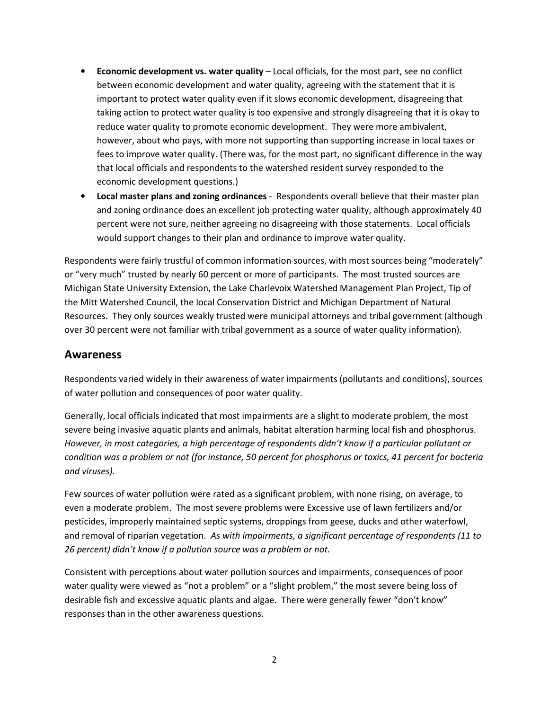- Economic development vs. water quality Local officials, for the most part, see no conflict between economic development and water quality, agreeing with the statement that it is important to protect water quality even if it slows economic development, disagreeing that taking action to protect water quality is too expensive and strongly disagreeing that it is okay to reduce water quality to promote economic development. They were more ambivalent, however, about who pays, with more not supporting than supporting increase in local taxes or fees to improve water quality. (There was, for the most part, no significant difference in the way that local officials and respondents to the watershed resident survey responded to the economic development questions.)
- Local master plans and zoning ordinances Respondents overall believe that their master plan and zoning ordinance does an excellent job protecting water quality, although approximately 40 percent were not sure, neither agreeing no disagreeing with those statements. Local officials would support changes to their plan and ordinance to improve water quality.

Respondents were fairly trustful of common information sources, with most sources being "moderately" or "very much" trusted by nearly 60 percent or more of participants. The most trusted sources are Michigan State University Extension, the Lake Charlevoix Watershed Management Plan Project, Tip of the Mitt Watershed Council, the local Conservation District and Michigan Department of Natural Resources. They only sources weakly trusted were municipal attorneys and tribal government (although over 30 percent were not familiar with tribal government as a source of water quality information).

#### Awareness

Respondents varied widely in their awareness of water impairments (pollutants and conditions), sources of water pollution and consequences of poor water quality.

Generally, local officials indicated that most impairments are a slight to moderate problem, the most severe being invasive aquatic plants and animals, habitat alteration harming local fish and phosphorus. However, in most categories, a high percentage of respondents didn't know if a particular pollutant or condition was a problem or not (for instance, 50 percent for phosphorus or toxics, 41 percent for bacteria and viruses).

Few sources of water pollution were rated as a significant problem, with none rising, on average, to even a moderate problem. The most severe problems were Excessive use of lawn fertilizers and/or pesticides, improperly maintained septic systems, droppings from geese, ducks and other waterfowl, and removal of riparian vegetation. As with impairments, a significant percentage of respondents (11 to 26 percent) didn't know if a pollution source was a problem or not.

Consistent with perceptions about water pollution sources and impairments, consequences of poor water quality were viewed as "not a problem" or a "slight problem," the most severe being loss of desirable fish and excessive aquatic plants and algae. There were generally fewer "don't know" responses than in the other awareness questions.